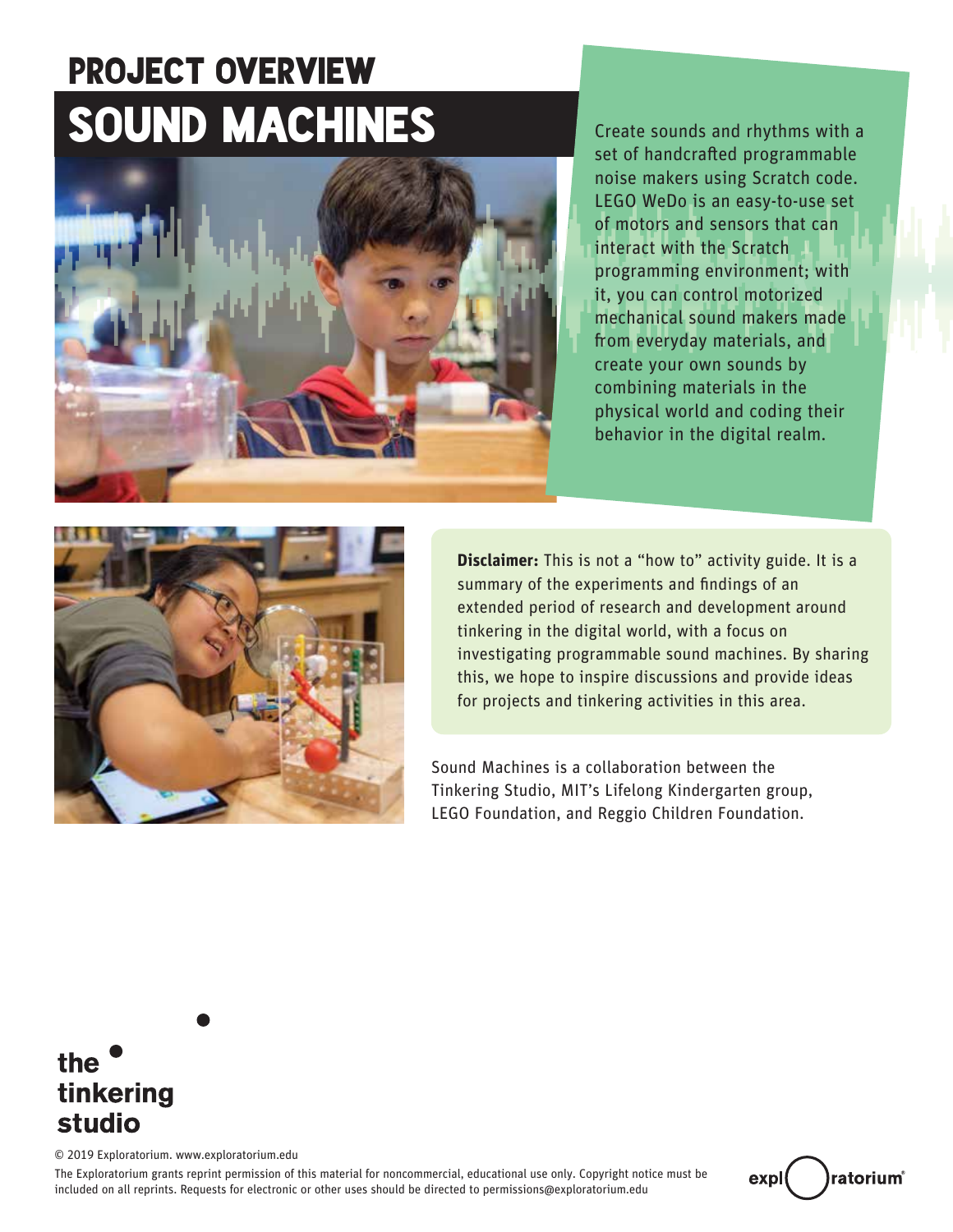# SOUND MACHINES PROJECT OVERVIEW



Create sounds and rhythms with a set of handcrafted programmable noise makers using Scratch code. LEGO WeDo is an easy-to-use set of motors and sensors that can interact with the Scratch programming environment; with it, you can control motorized mechanical sound makers made from everyday materials, and create your own sounds by combining materials in the physical world and coding their behavior in the digital realm.



**Disclaimer:** This is not a "how to" activity guide. It is a summary of the experiments and findings of an extended period of research and development around tinkering in the digital world, with a focus on investigating programmable sound machines. By sharing this, we hope to inspire discussions and provide ideas for projects and tinkering activities in this area.

Sound Machines is a collaboration between the Tinkering Studio, MIT's Lifelong Kindergarten group, LEGO Foundation, and Reggio Children Foundation.

## the tinkering studio

© 2019 Exploratorium. www.exploratorium.edu

The Exploratorium grants reprint permission of this material for noncommercial, educational use only. Copyright notice must be included on all reprints. Requests for electronic or other uses should be directed to permissions@exploratorium.edu

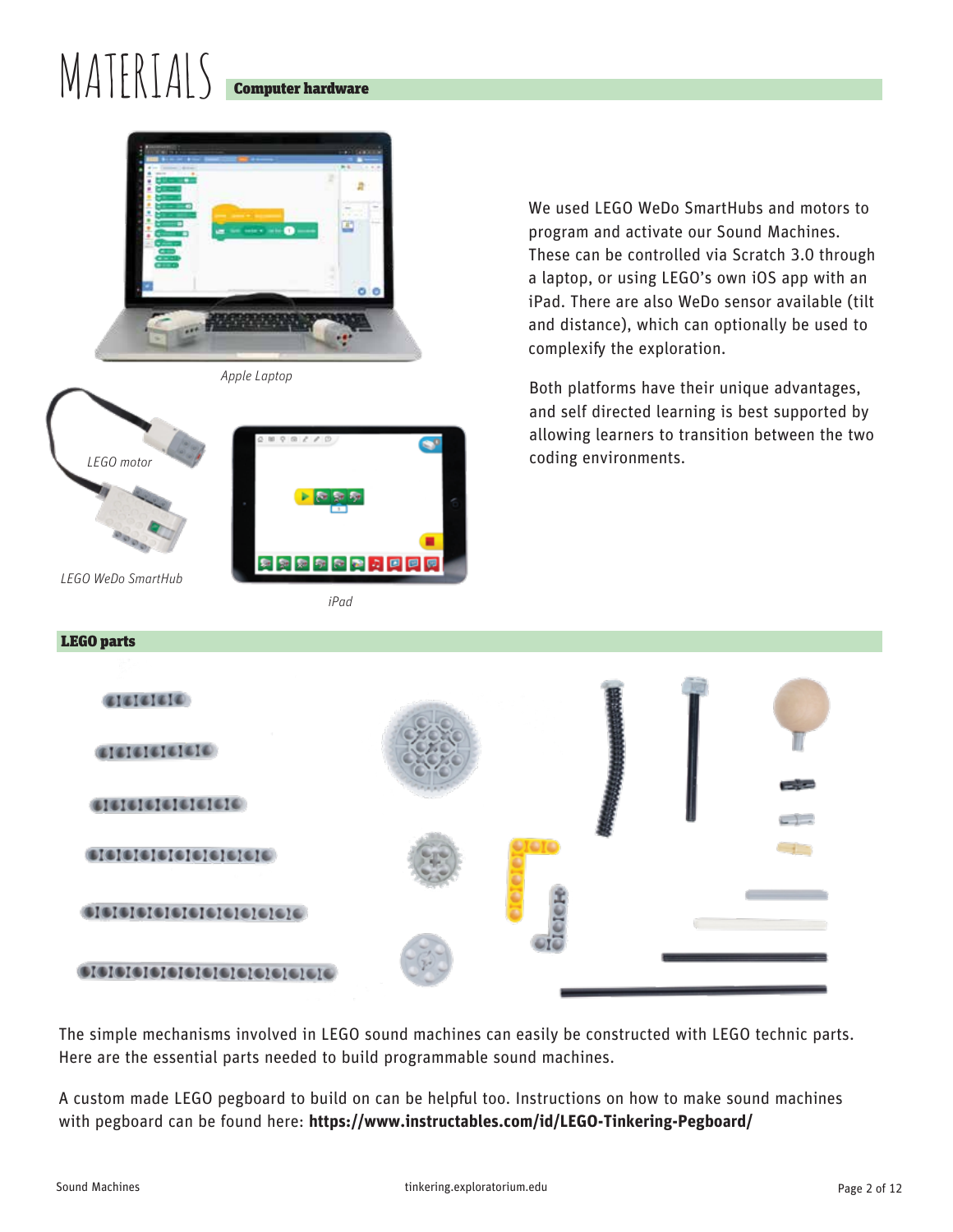# $\mathsf{MATERIAS}$







*iPad*

We used LEGO WeDo SmartHubs and motors to program and activate our Sound Machines. These can be controlled via Scratch 3.0 through a laptop, or using LEGO's own iOS app with an iPad. There are also WeDo sensor available (tilt and distance), which can optionally be used to complexify the exploration.

Both platforms have their unique advantages, and self directed learning is best supported by allowing learners to transition between the two coding environments.



The simple mechanisms involved in LEGO sound machines can easily be constructed with LEGO technic parts. Here are the essential parts needed to build programmable sound machines.

A custom made LEGO pegboard to build on can be helpful too. Instructions on how to make sound machines with pegboard can be found here: **https://www.instructables.com/id/LEGO-Tinkering-Pegboard/**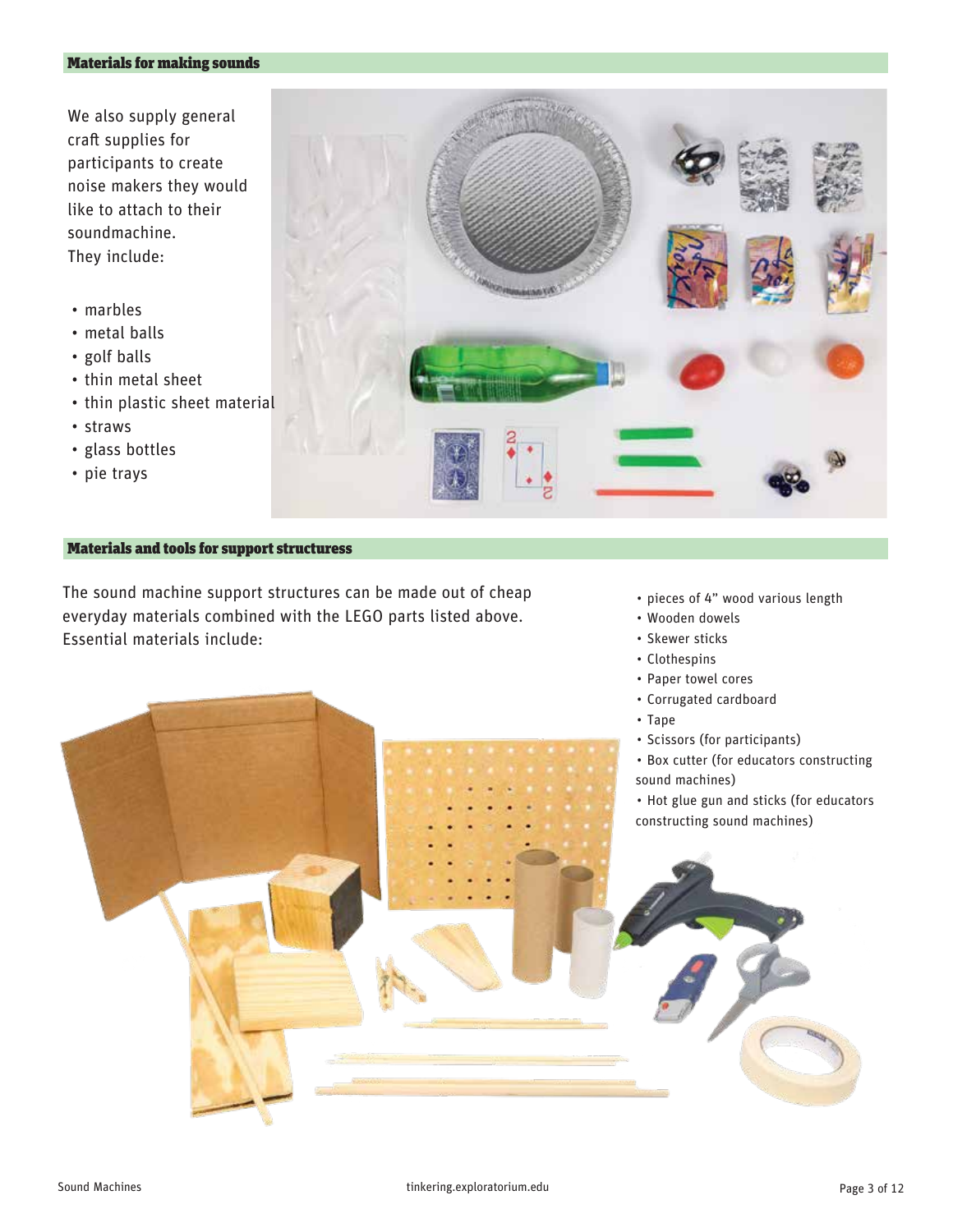#### Materials for making sounds

We also supply general craft supplies for participants to create noise makers they would like to attach to their soundmachine. They include:

- marbles
- metal balls
- golf balls
- thin metal sheet
- thin plastic sheet material
- straws
- glass bottles
- pie trays



#### Materials and tools for support structuress

The sound machine support structures can be made out of cheap everyday materials combined with the LEGO parts listed above. Essential materials include:

- pieces of 4" wood various length
- Wooden dowels
- Skewer sticks
- Clothespins
- Paper towel cores
- Corrugated cardboard
- Tape
- Scissors (for participants)
- Box cutter (for educators constructing sound machines)
- Hot glue gun and sticks (for educators constructing sound machines)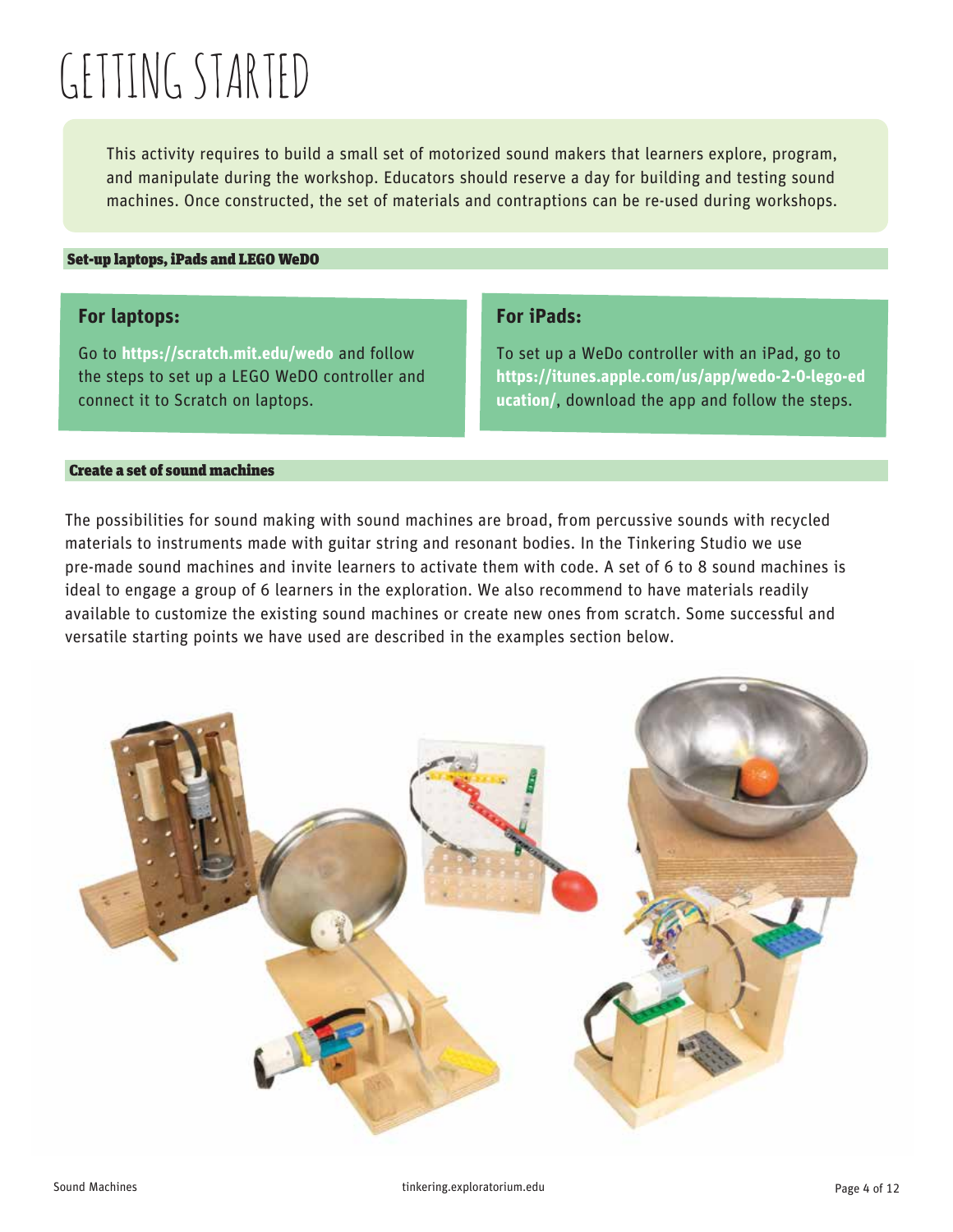# GETTING STARTED

This activity requires to build a small set of motorized sound makers that learners explore, program, and manipulate during the workshop. Educators should reserve a day for building and testing sound machines. Once constructed, the set of materials and contraptions can be re-used during workshops.

#### Set-up laptops, iPads and LEGO WeDO

## **For laptops:**

Go to **https://scratch.mit.edu/wedo** and follow the steps to set up a LEGO WeDO controller and connect it to Scratch on laptops.

## **For iPads:**

To set up a WeDo controller with an iPad, go to **https://itunes.apple.com/us/app/wedo-2-0-lego-ed ucation/**, download the app and follow the steps.

#### Create a set of sound machines

The possibilities for sound making with sound machines are broad, from percussive sounds with recycled materials to instruments made with guitar string and resonant bodies. In the Tinkering Studio we use pre-made sound machines and invite learners to activate them with code. A set of 6 to 8 sound machines is ideal to engage a group of 6 learners in the exploration. We also recommend to have materials readily available to customize the existing sound machines or create new ones from scratch. Some successful and versatile starting points we have used are described in the examples section below.

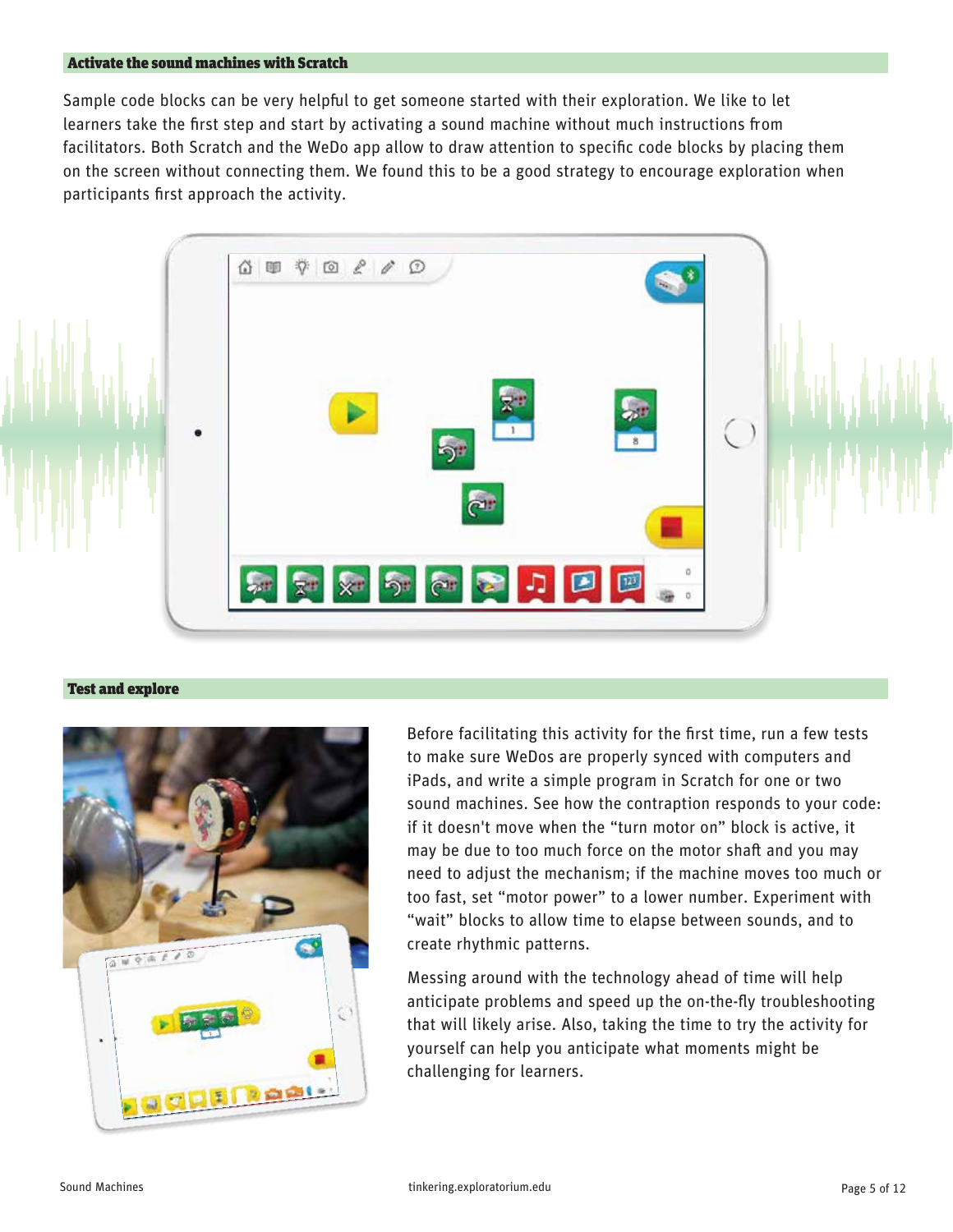#### Activate the sound machines with Scratch

Sample code blocks can be very helpful to get someone started with their exploration. We like to let learners take the first step and start by activating a sound machine without much instructions from facilitators. Both Scratch and the WeDo app allow to draw attention to specific code blocks by placing them on the screen without connecting them. We found this to be a good strategy to encourage exploration when participants first approach the activity.



#### Test and explore



Before facilitating this activity for the first time, run a few tests to make sure WeDos are properly synced with computers and iPads, and write a simple program in Scratch for one or two sound machines. See how the contraption responds to your code: if it doesn't move when the "turn motor on" block is active, it may be due to too much force on the motor shaft and you may need to adjust the mechanism; if the machine moves too much or too fast, set "motor power" to a lower number. Experiment with "wait" blocks to allow time to elapse between sounds, and to create rhythmic patterns.

Messing around with the technology ahead of time will help anticipate problems and speed up the on-the-fly troubleshooting that will likely arise. Also, taking the time to try the activity for yourself can help you anticipate what moments might be challenging for learners.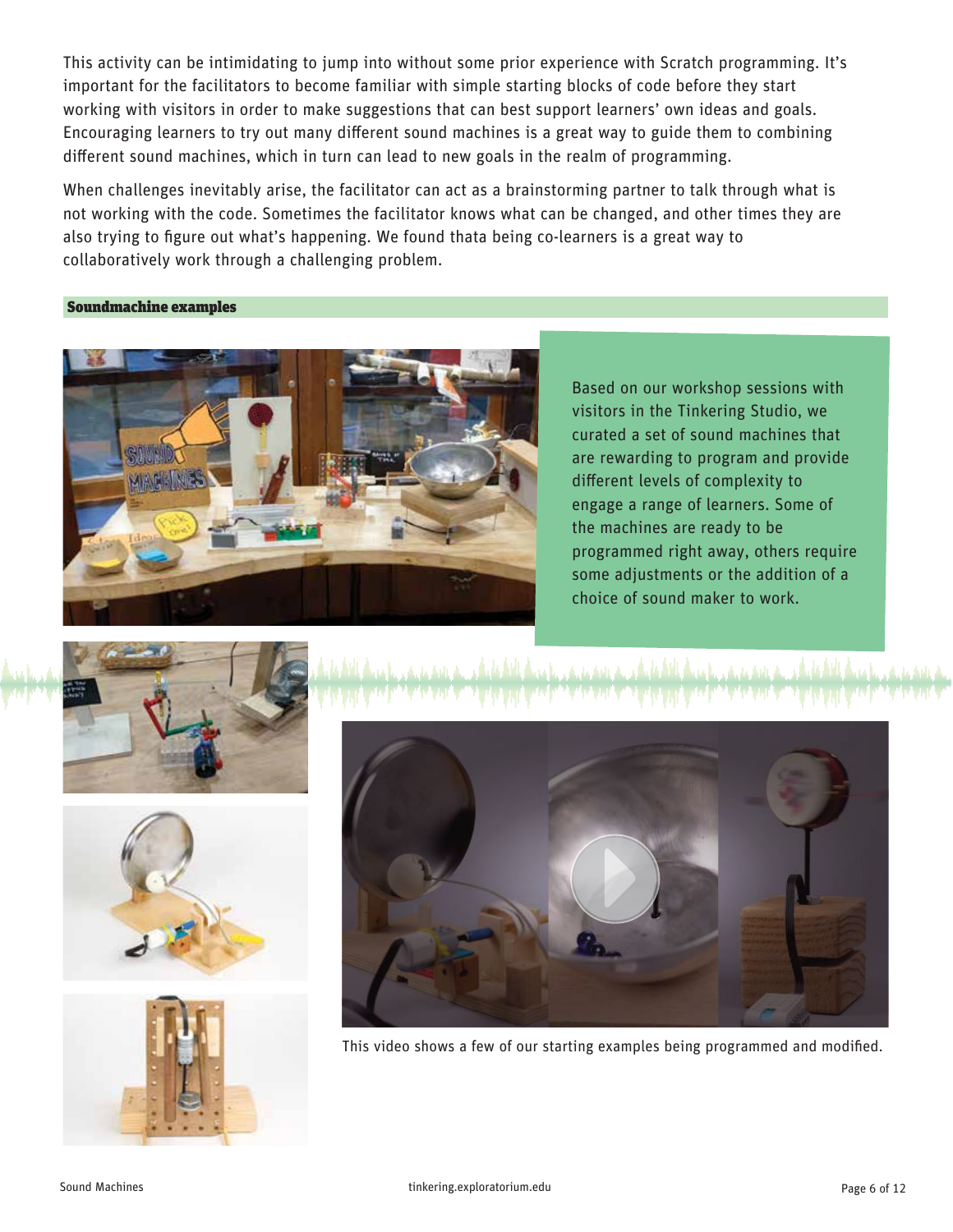This activity can be intimidating to jump into without some prior experience with Scratch programming. It's important for the facilitators to become familiar with simple starting blocks of code before they start working with visitors in order to make suggestions that can best support learners' own ideas and goals. Encouraging learners to try out many different sound machines is a great way to guide them to combining different sound machines, which in turn can lead to new goals in the realm of programming.

When challenges inevitably arise, the facilitator can act as a brainstorming partner to talk through what is not working with the code. Sometimes the facilitator knows what can be changed, and other times they are also trying to figure out what's happening. We found thata being co-learners is a great way to collaboratively work through a challenging problem.

Soundmachine examples



Based on our workshop sessions with visitors in the Tinkering Studio, we curated a set of sound machines that are rewarding to program and provide different levels of complexity to engage a range of learners. Some of the machines are ready to be programmed right away, others require some adjustments or the addition of a choice of sound maker to work.









This video shows a few of our starting examples being programmed and modified.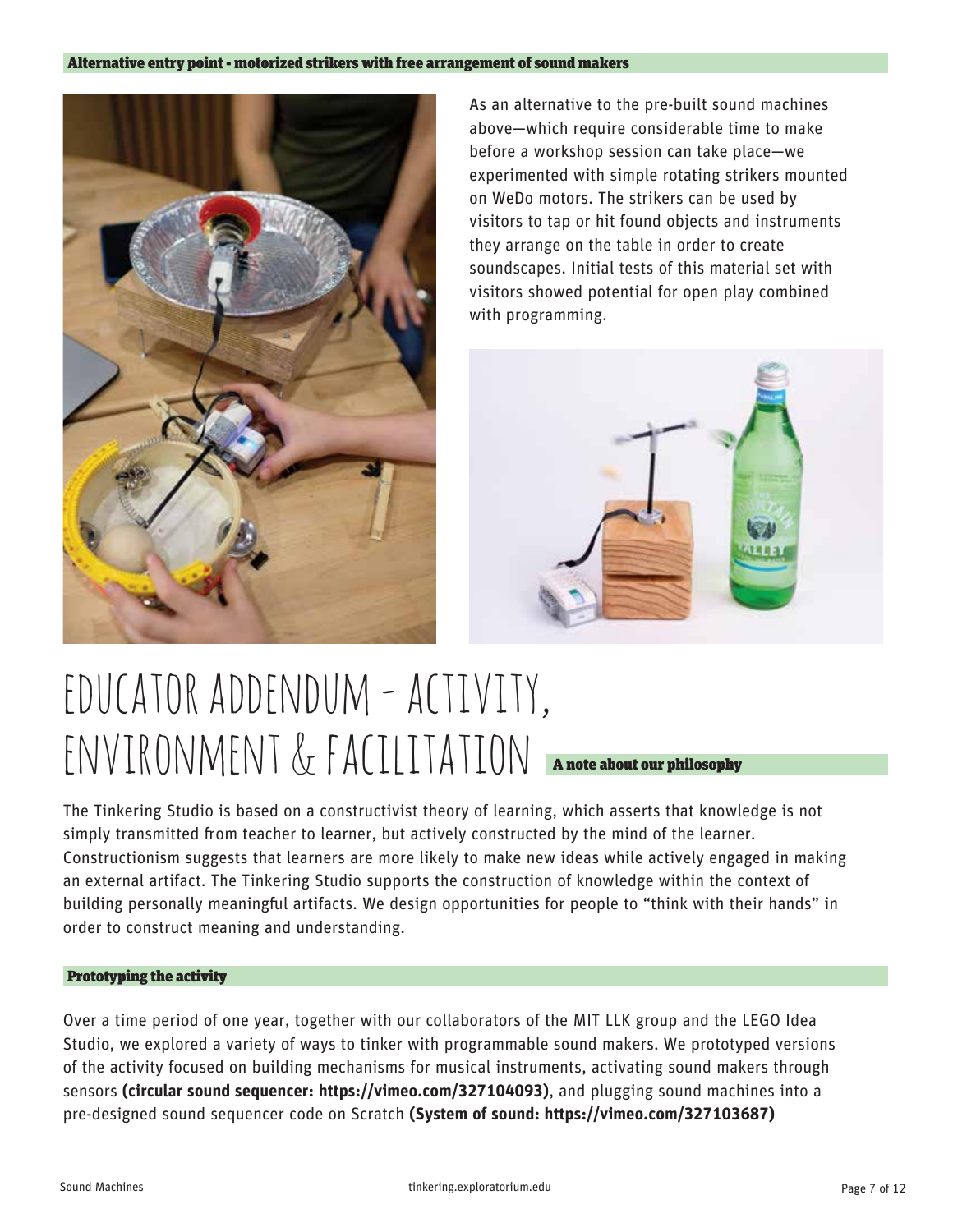

As an alternative to the pre-built sound machines above—which require considerable time to make before a workshop session can take place—we experimented with simple rotating strikers mounted on WeDo motors. The strikers can be used by visitors to tap or hit found objects and instruments they arrange on the table in order to create soundscapes. Initial tests of this material set with visitors showed potential for open play combined with programming.



# educator addendum - activity, environment & facilitation A note about our philosophy

The Tinkering Studio is based on a constructivist theory of learning, which asserts that knowledge is not simply transmitted from teacher to learner, but actively constructed by the mind of the learner. Constructionism suggests that learners are more likely to make new ideas while actively engaged in making an external artifact. The Tinkering Studio supports the construction of knowledge within the context of building personally meaningful artifacts. We design opportunities for people to "think with their hands" in order to construct meaning and understanding.

### Prototyping the activity

Over a time period of one year, together with our collaborators of the MIT LLK group and the LEGO Idea Studio, we explored a variety of ways to tinker with programmable sound makers. We prototyped versions of the activity focused on building mechanisms for musical instruments, activating sound makers through sensors **(circular sound sequencer: https://vimeo.com/327104093)**, and plugging sound machines into a pre-designed sound sequencer code on Scratch **(System of sound: https://vimeo.com/327103687)**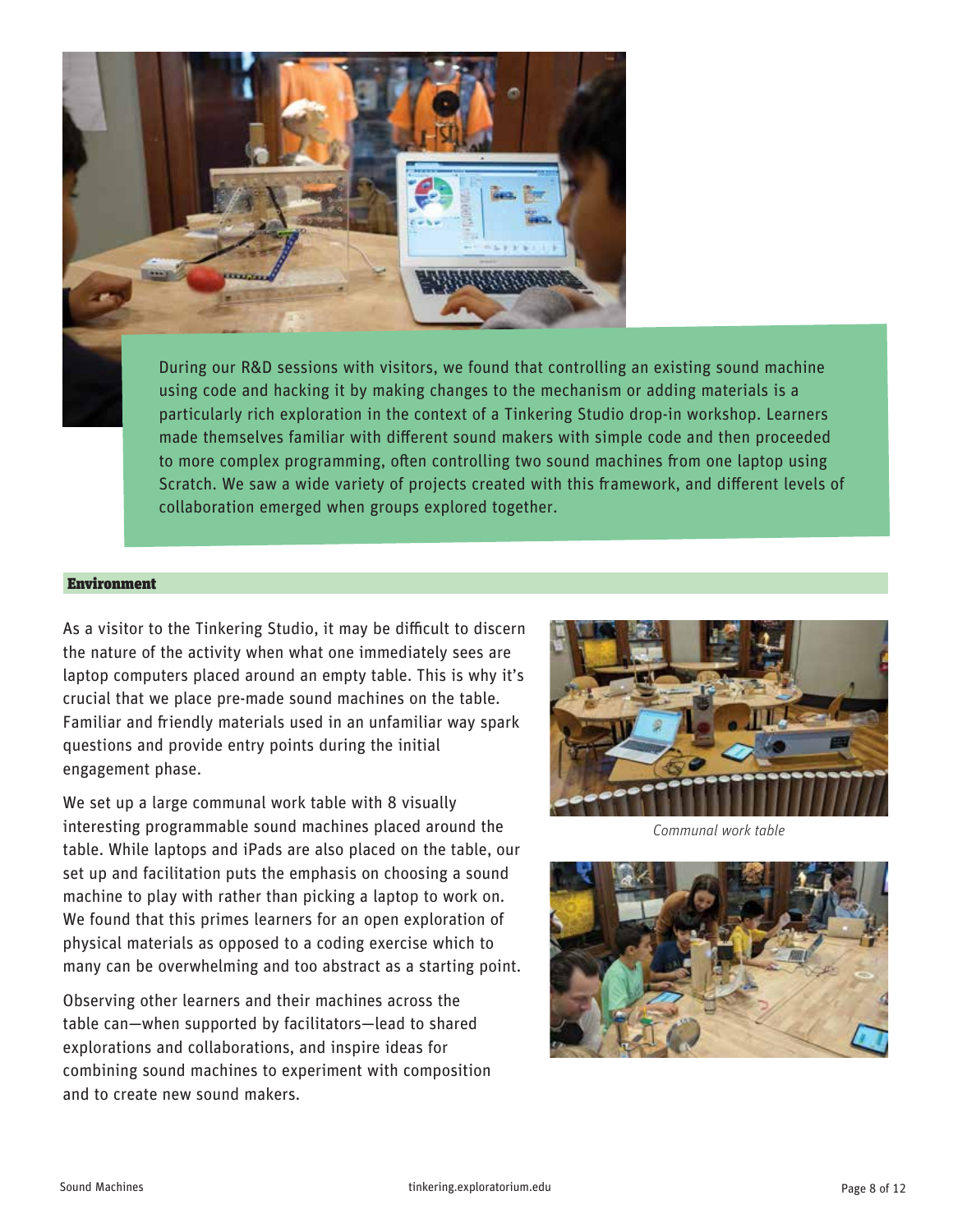

During our R&D sessions with visitors, we found that controlling an existing sound machine using code and hacking it by making changes to the mechanism or adding materials is a particularly rich exploration in the context of a Tinkering Studio drop-in workshop. Learners made themselves familiar with different sound makers with simple code and then proceeded to more complex programming, often controlling two sound machines from one laptop using Scratch. We saw a wide variety of projects created with this framework, and different levels of collaboration emerged when groups explored together.

#### Environment

As a visitor to the Tinkering Studio, it may be difficult to discern the nature of the activity when what one immediately sees are laptop computers placed around an empty table. This is why it's crucial that we place pre-made sound machines on the table. Familiar and friendly materials used in an unfamiliar way spark questions and provide entry points during the initial engagement phase.

We set up a large communal work table with 8 visually interesting programmable sound machines placed around the table. While laptops and iPads are also placed on the table, our set up and facilitation puts the emphasis on choosing a sound machine to play with rather than picking a laptop to work on. We found that this primes learners for an open exploration of physical materials as opposed to a coding exercise which to many can be overwhelming and too abstract as a starting point.

Observing other learners and their machines across the table can—when supported by facilitators—lead to shared explorations and collaborations, and inspire ideas for combining sound machines to experiment with composition and to create new sound makers.



*Communal work table*

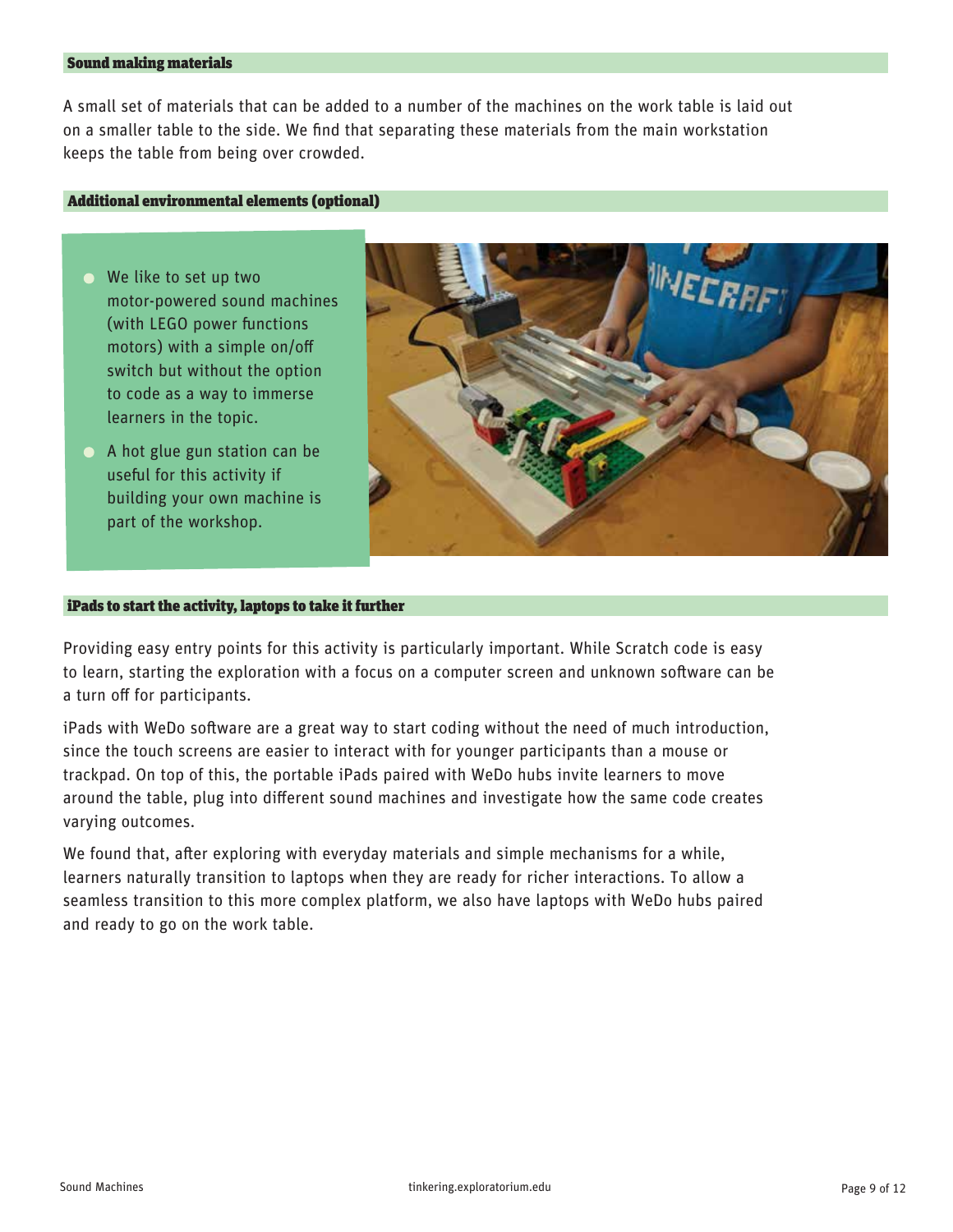### Sound making materials

A small set of materials that can be added to a number of the machines on the work table is laid out on a smaller table to the side. We find that separating these materials from the main workstation keeps the table from being over crowded.

#### Additional environmental elements (optional)

- We like to set up two motor-powered sound machines (with LEGO power functions motors) with a simple on/o switch but without the option to code as a way to immerse learners in the topic.
- A hot glue gun station can be useful for this activity if building your own machine is part of the workshop.



#### iPads to start the activity, laptops to take it further

Providing easy entry points for this activity is particularly important. While Scratch code is easy to learn, starting the exploration with a focus on a computer screen and unknown software can be a turn off for participants.

iPads with WeDo software are a great way to start coding without the need of much introduction, since the touch screens are easier to interact with for younger participants than a mouse or trackpad. On top of this, the portable iPads paired with WeDo hubs invite learners to move around the table, plug into different sound machines and investigate how the same code creates varying outcomes.

We found that, after exploring with everyday materials and simple mechanisms for a while, learners naturally transition to laptops when they are ready for richer interactions. To allow a seamless transition to this more complex platform, we also have laptops with WeDo hubs paired and ready to go on the work table.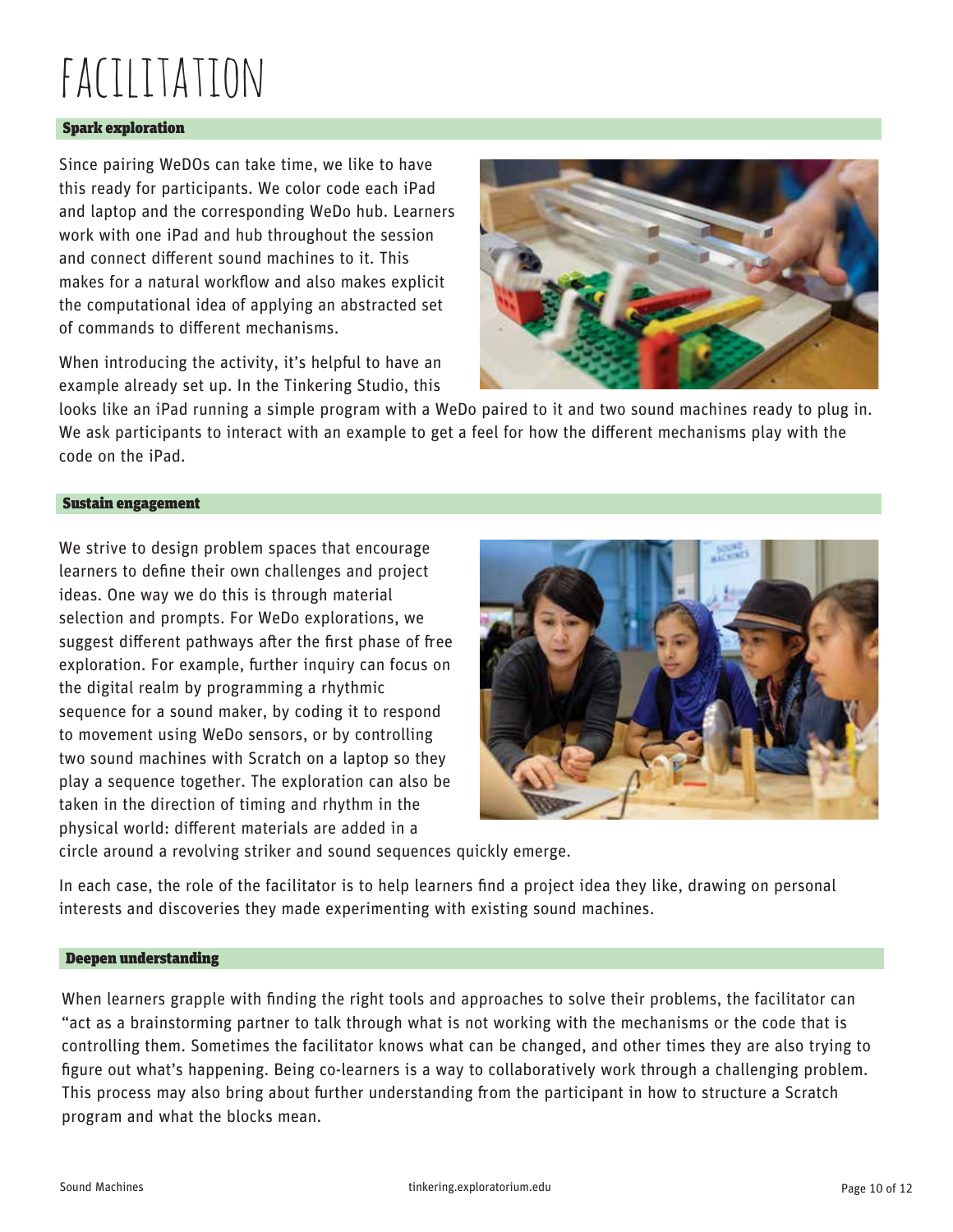# facilitation

#### Spark exploration

Since pairing WeDOs can take time, we like to have this ready for participants. We color code each iPad and laptop and the corresponding WeDo hub. Learners work with one iPad and hub throughout the session and connect different sound machines to it. This makes for a natural workflow and also makes explicit the computational idea of applying an abstracted set of commands to different mechanisms.

When introducing the activity, it's helpful to have an example already set up. In the Tinkering Studio, this



looks like an iPad running a simple program with a WeDo paired to it and two sound machines ready to plug in. We ask participants to interact with an example to get a feel for how the different mechanisms play with the code on the iPad.

### Sustain engagement

We strive to design problem spaces that encourage learners to define their own challenges and project ideas. One way we do this is through material selection and prompts. For WeDo explorations, we suggest different pathways after the first phase of free exploration. For example, further inquiry can focus on the digital realm by programming a rhythmic sequence for a sound maker, by coding it to respond to movement using WeDo sensors, or by controlling two sound machines with Scratch on a laptop so they play a sequence together. The exploration can also be taken in the direction of timing and rhythm in the physical world: different materials are added in a



circle around a revolving striker and sound sequences quickly emerge.

In each case, the role of the facilitator is to help learners find a project idea they like, drawing on personal interests and discoveries they made experimenting with existing sound machines.

#### Deepen understanding

When learners grapple with finding the right tools and approaches to solve their problems, the facilitator can "act as a brainstorming partner to talk through what is not working with the mechanisms or the code that is controlling them. Sometimes the facilitator knows what can be changed, and other times they are also trying to figure out what's happening. Being co-learners is a way to collaboratively work through a challenging problem. This process may also bring about further understanding from the participant in how to structure a Scratch program and what the blocks mean.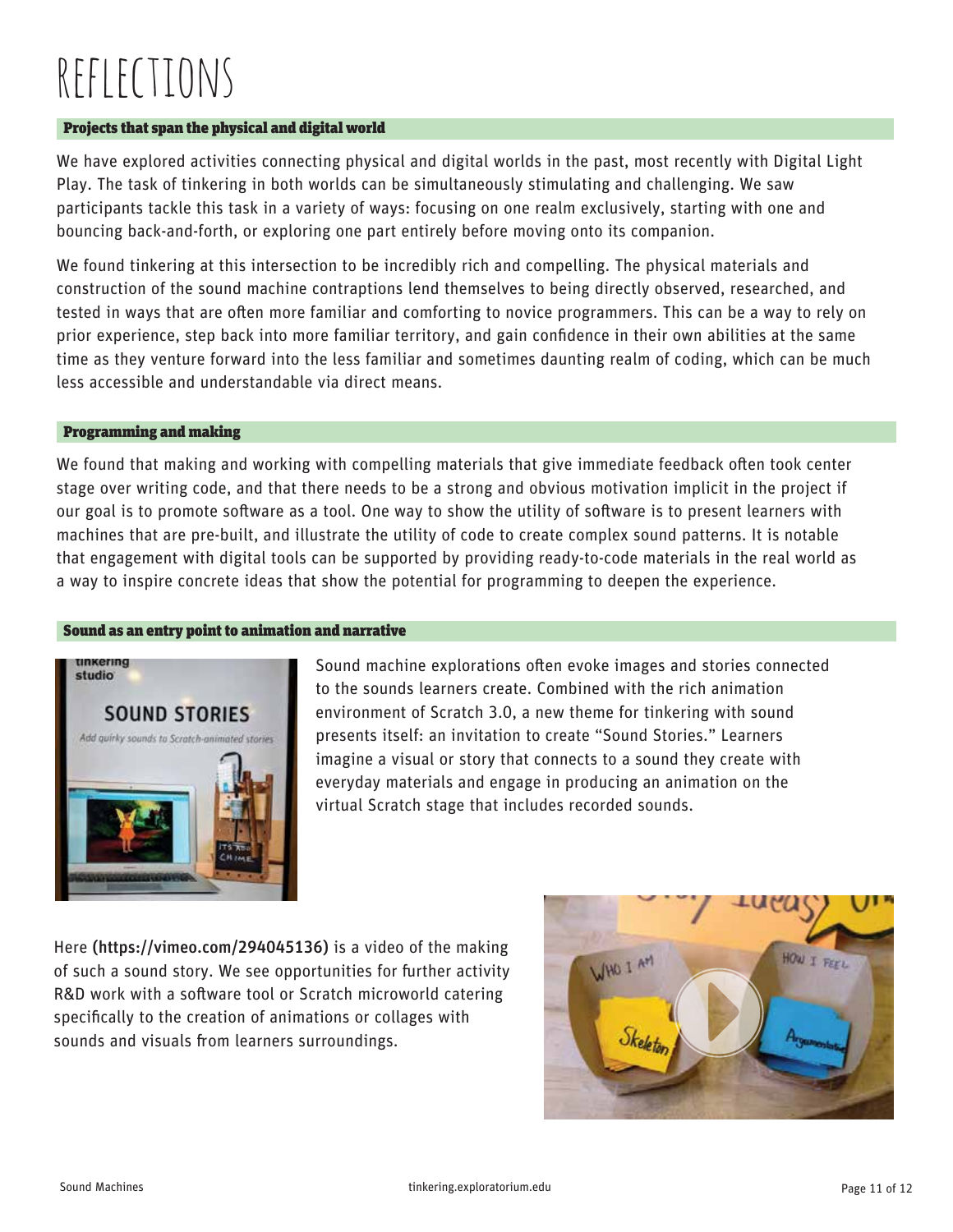# reflections

### Projects that span the physical and digital world

We have explored activities connecting physical and digital worlds in the past, most recently with Digital Light Play. The task of tinkering in both worlds can be simultaneously stimulating and challenging. We saw participants tackle this task in a variety of ways: focusing on one realm exclusively, starting with one and bouncing back-and-forth, or exploring one part entirely before moving onto its companion.

We found tinkering at this intersection to be incredibly rich and compelling. The physical materials and construction of the sound machine contraptions lend themselves to being directly observed, researched, and tested in ways that are often more familiar and comforting to novice programmers. This can be a way to rely on prior experience, step back into more familiar territory, and gain confidence in their own abilities at the same time as they venture forward into the less familiar and sometimes daunting realm of coding, which can be much less accessible and understandable via direct means.

#### Programming and making

We found that making and working with compelling materials that give immediate feedback often took center stage over writing code, and that there needs to be a strong and obvious motivation implicit in the project if our goal is to promote software as a tool. One way to show the utility of software is to present learners with machines that are pre-built, and illustrate the utility of code to create complex sound patterns. It is notable that engagement with digital tools can be supported by providing ready-to-code materials in the real world as a way to inspire concrete ideas that show the potential for programming to deepen the experience.

#### Sound as an entry point to animation and narrative



Sound machine explorations often evoke images and stories connected to the sounds learners create. Combined with the rich animation environment of Scratch 3.0, a new theme for tinkering with sound presents itself: an invitation to create "Sound Stories." Learners imagine a visual or story that connects to a sound they create with everyday materials and engage in producing an animation on the virtual Scratch stage that includes recorded sounds.

Here (https://vimeo.com/294045136) is a video of the making of such a sound story. We see opportunities for further activity R&D work with a software tool or Scratch microworld catering specifically to the creation of animations or collages with sounds and visuals from learners surroundings.